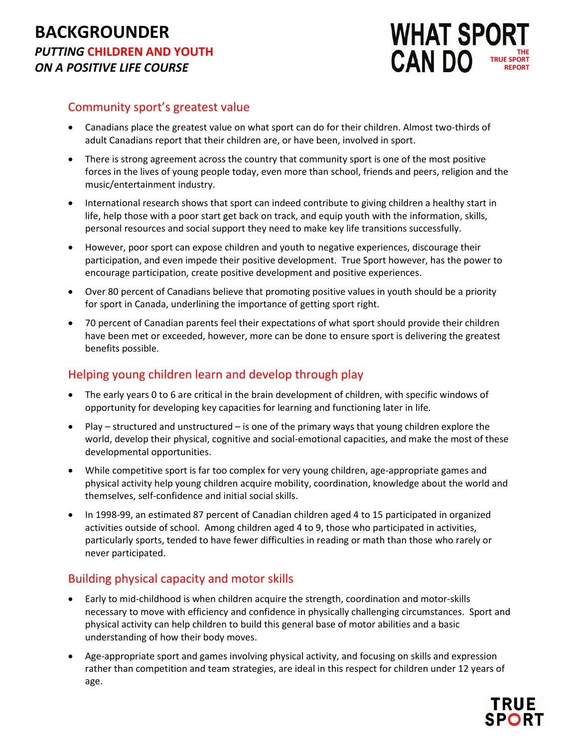

### Community sport's greatest value

- Canadians place the greatest value on what sport can do for their children. Almost two-thirds of adult Canadians report that their children are, or have been, involved in sport.
- There is strong agreement across the country that community sport is one of the most positive forces in the lives of young people today, even more than school, friends and peers, religion and the music/entertainment industry.
- International research shows that sport can indeed contribute to giving children a healthy start in life, help those with a poor start get back on track, and equip youth with the information, skills, personal resources and social support they need to make key life transitions successfully.
- However, poor sport can expose children and youth to negative experiences, discourage their participation, and even impede their positive development. True Sport however, has the power to encourage participation, create positive development and positive experiences.
- Over 80 percent of Canadians believe that promoting positive values in youth should be a priority for sport in Canada, underlining the importance of getting sport right.
- 70 percent of Canadian parents feel their expectations of what sport should provide their children have been met or exceeded, however, more can be done to ensure sport is delivering the greatest benefits possible.

# Helping young children learn and develop through play

- The early years 0 to 6 are critical in the brain development of children, with specific windows of opportunity for developing key capacities for learning and functioning later in life.
- Play structured and unstructured is one of the primary ways that young children explore the world, develop their physical, cognitive and social-emotional capacities, and make the most of these developmental opportunities.
- While competitive sport is far too complex for very young children, age-appropriate games and physical activity help young children acquire mobility, coordination, knowledge about the world and themselves, self-confidence and initial social skills.
- In 1998-99, an estimated 87 percent of Canadian children aged 4 to 15 participated in organized activities outside of school. Among children aged 4 to 9, those who participated in activities, particularly sports, tended to have fewer difficulties in reading or math than those who rarely or never participated.

# Building physical capacity and motor skills

- Early to mid-childhood is when children acquire the strength, coordination and motor-skills necessary to move with efficiency and confidence in physically challenging circumstances. Sport and physical activity can help children to build this general base of motor abilities and a basic understanding of how their body moves.
- Age-appropriate sport and games involving physical activity, and focusing on skills and expression rather than competition and team strategies, are ideal in this respect for children under 12 years of age.

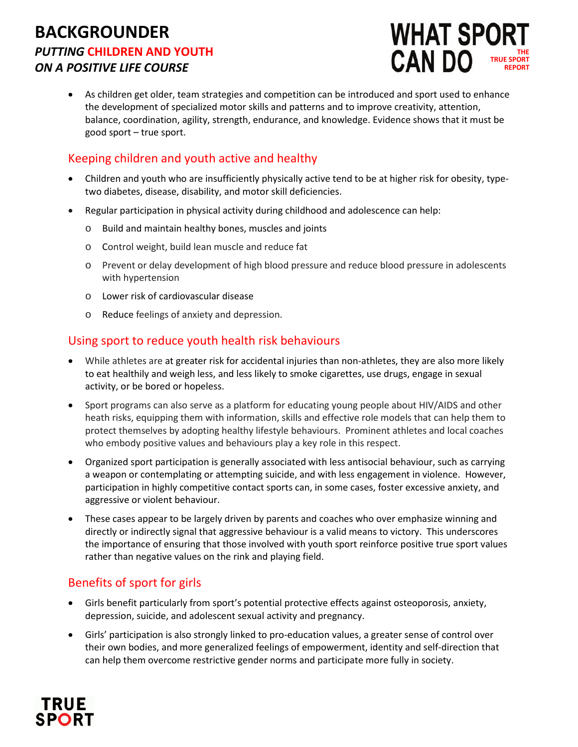

• As children get older, team strategies and competition can be introduced and sport used to enhance the development of specialized motor skills and patterns and to improve creativity, attention, balance, coordination, agility, strength, endurance, and knowledge. Evidence shows that it must be good sport – true sport.

# Keeping children and youth active and healthy

- Children and youth who are insufficiently physically active tend to be at higher risk for obesity, typetwo diabetes, disease, disability, and motor skill deficiencies.
- Regular participation in physical activity during childhood and adolescence can help:
	- o Build and maintain healthy bones, muscles and joints
	- o Control weight, build lean muscle and reduce fat
	- o Prevent or delay development of high blood pressure and reduce blood pressure in adolescents with hypertension
	- o Lower risk of cardiovascular disease
	- o Reduce feelings of anxiety and depression.

### Using sport to reduce youth health risk behaviours

- While athletes are at greater risk for accidental injuries than non-athletes, they are also more likely to eat healthily and weigh less, and less likely to smoke cigarettes, use drugs, engage in sexual activity, or be bored or hopeless.
- Sport programs can also serve as a platform for educating young people about HIV/AIDS and other heath risks, equipping them with information, skills and effective role models that can help them to protect themselves by adopting healthy lifestyle behaviours. Prominent athletes and local coaches who embody positive values and behaviours play a key role in this respect.
- Organized sport participation is generally associated with less antisocial behaviour, such as carrying a weapon or contemplating or attempting suicide, and with less engagement in violence. However, participation in highly competitive contact sports can, in some cases, foster excessive anxiety, and aggressive or violent behaviour.
- These cases appear to be largely driven by parents and coaches who over emphasize winning and directly or indirectly signal that aggressive behaviour is a valid means to victory. This underscores the importance of ensuring that those involved with youth sport reinforce positive true sport values rather than negative values on the rink and playing field.

# Benefits of sport for girls

- Girls benefit particularly from sport's potential protective effects against osteoporosis, anxiety, depression, suicide, and adolescent sexual activity and pregnancy.
- Girls' participation is also strongly linked to pro-education values, a greater sense of control over their own bodies, and more generalized feelings of empowerment, identity and self-direction that can help them overcome restrictive gender norms and participate more fully in society.

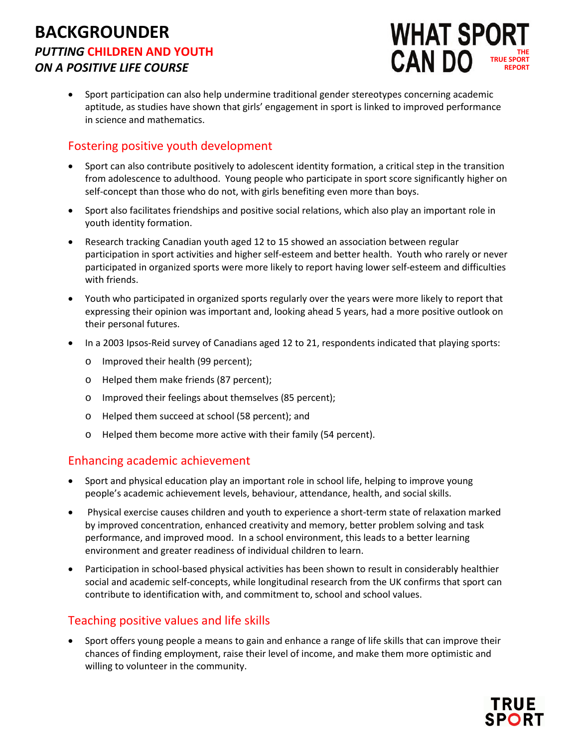

• Sport participation can also help undermine traditional gender stereotypes concerning academic aptitude, as studies have shown that girls' engagement in sport is linked to improved performance in science and mathematics.

# Fostering positive youth development

- Sport can also contribute positively to adolescent identity formation, a critical step in the transition from adolescence to adulthood. Young people who participate in sport score significantly higher on self-concept than those who do not, with girls benefiting even more than boys.
- Sport also facilitates friendships and positive social relations, which also play an important role in youth identity formation.
- Research tracking Canadian youth aged 12 to 15 showed an association between regular participation in sport activities and higher self-esteem and better health. Youth who rarely or never participated in organized sports were more likely to report having lower self-esteem and difficulties with friends.
- Youth who participated in organized sports regularly over the years were more likely to report that expressing their opinion was important and, looking ahead 5 years, had a more positive outlook on their personal futures.
- In a 2003 Ipsos-Reid survey of Canadians aged 12 to 21, respondents indicated that playing sports:
	- o Improved their health (99 percent);
	- o Helped them make friends (87 percent);
	- o Improved their feelings about themselves (85 percent);
	- o Helped them succeed at school (58 percent); and
	- o Helped them become more active with their family (54 percent).

#### Enhancing academic achievement

- Sport and physical education play an important role in school life, helping to improve young people's academic achievement levels, behaviour, attendance, health, and social skills.
- Physical exercise causes children and youth to experience a short-term state of relaxation marked by improved concentration, enhanced creativity and memory, better problem solving and task performance, and improved mood. In a school environment, this leads to a better learning environment and greater readiness of individual children to learn.
- Participation in school-based physical activities has been shown to result in considerably healthier social and academic self-concepts, while longitudinal research from the UK confirms that sport can contribute to identification with, and commitment to, school and school values.

#### Teaching positive values and life skills

• Sport offers young people a means to gain and enhance a range of life skills that can improve their chances of finding employment, raise their level of income, and make them more optimistic and willing to volunteer in the community.

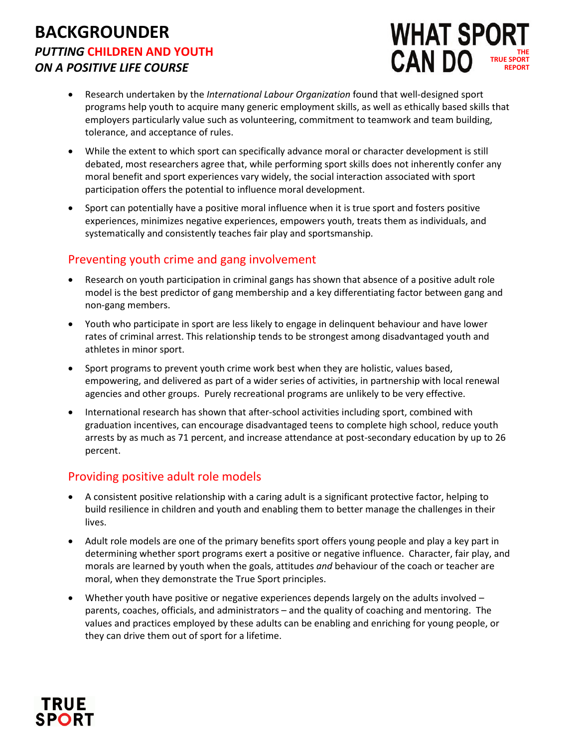

- Research undertaken by the *International Labour Organization* found that well-designed sport programs help youth to acquire many generic employment skills, as well as ethically based skills that employers particularly value such as volunteering, commitment to teamwork and team building, tolerance, and acceptance of rules.
- While the extent to which sport can specifically advance moral or character development is still debated, most researchers agree that, while performing sport skills does not inherently confer any moral benefit and sport experiences vary widely, the social interaction associated with sport participation offers the potential to influence moral development.
- Sport can potentially have a positive moral influence when it is true sport and fosters positive experiences, minimizes negative experiences, empowers youth, treats them as individuals, and systematically and consistently teaches fair play and sportsmanship.

### Preventing youth crime and gang involvement

- Research on youth participation in criminal gangs has shown that absence of a positive adult role model is the best predictor of gang membership and a key differentiating factor between gang and non-gang members.
- Youth who participate in sport are less likely to engage in delinquent behaviour and have lower rates of criminal arrest. This relationship tends to be strongest among disadvantaged youth and athletes in minor sport.
- Sport programs to prevent youth crime work best when they are holistic, values based, empowering, and delivered as part of a wider series of activities, in partnership with local renewal agencies and other groups. Purely recreational programs are unlikely to be very effective.
- International research has shown that after-school activities including sport, combined with graduation incentives, can encourage disadvantaged teens to complete high school, reduce youth arrests by as much as 71 percent, and increase attendance at post-secondary education by up to 26 percent.

# Providing positive adult role models

- A consistent positive relationship with a caring adult is a significant protective factor, helping to build resilience in children and youth and enabling them to better manage the challenges in their lives.
- Adult role models are one of the primary benefits sport offers young people and play a key part in determining whether sport programs exert a positive or negative influence. Character, fair play, and morals are learned by youth when the goals, attitudes *and* behaviour of the coach or teacher are moral, when they demonstrate the True Sport principles.
- Whether youth have positive or negative experiences depends largely on the adults involved parents, coaches, officials, and administrators – and the quality of coaching and mentoring. The values and practices employed by these adults can be enabling and enriching for young people, or they can drive them out of sport for a lifetime.